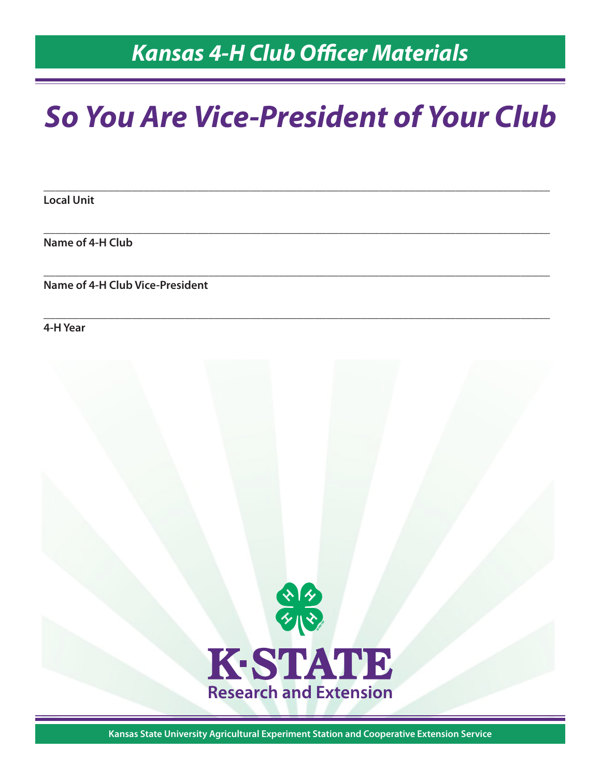# *Kansas 4-H Club Officer Materials*

# *So You Are Vice-President of Your Club*

**\_\_\_\_\_\_\_\_\_\_\_\_\_\_\_\_\_\_\_\_\_\_\_\_\_\_\_\_\_\_\_\_\_\_\_\_\_\_\_\_\_\_\_\_\_\_\_\_\_\_\_\_\_\_\_\_\_\_\_\_\_\_\_\_\_\_\_\_\_\_\_\_\_\_\_\_\_\_\_\_\_\_\_\_\_\_**

**\_\_\_\_\_\_\_\_\_\_\_\_\_\_\_\_\_\_\_\_\_\_\_\_\_\_\_\_\_\_\_\_\_\_\_\_\_\_\_\_\_\_\_\_\_\_\_\_\_\_\_\_\_\_\_\_\_\_\_\_\_\_\_\_\_\_\_\_\_\_\_\_\_\_\_\_\_\_\_\_\_\_\_\_\_\_**

**\_\_\_\_\_\_\_\_\_\_\_\_\_\_\_\_\_\_\_\_\_\_\_\_\_\_\_\_\_\_\_\_\_\_\_\_\_\_\_\_\_\_\_\_\_\_\_\_\_\_\_\_\_\_\_\_\_\_\_\_\_\_\_\_\_\_\_\_\_\_\_\_\_\_\_\_\_\_\_\_\_\_\_\_\_\_**

**\_\_\_\_\_\_\_\_\_\_\_\_\_\_\_\_\_\_\_\_\_\_\_\_\_\_\_\_\_\_\_\_\_\_\_\_\_\_\_\_\_\_\_\_\_\_\_\_\_\_\_\_\_\_\_\_\_\_\_\_\_\_\_\_\_\_\_\_\_\_\_\_\_\_\_\_\_\_\_\_\_\_\_\_\_\_**

**Local Unit**

**Name of 4-H Club**

**Name of 4-H Club Vice-President**

**4-H Year**



**Kansas State University Agricultural Experiment Station and Cooperative Extension Service**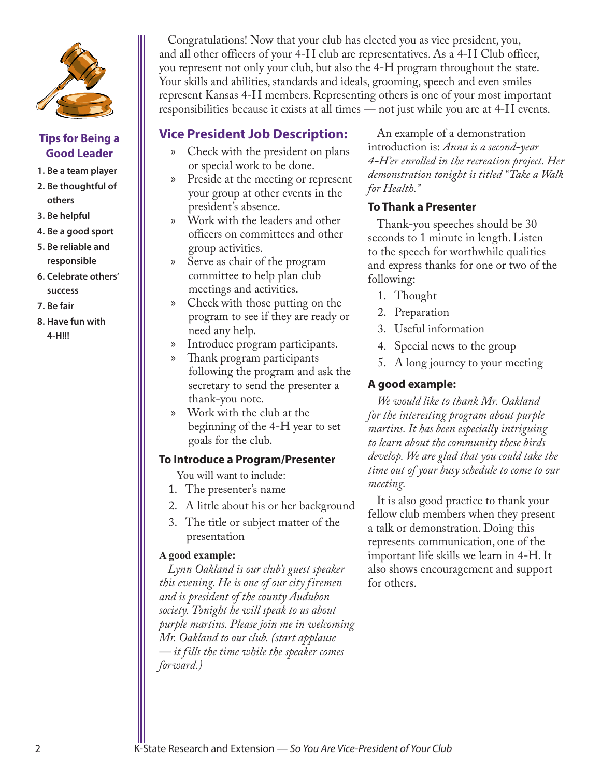

#### **Tips for Being a Good Leader**

- **1. Be a team player**
- **2. Be thoughtful of others**
- **3. Be helpful**
- **4. Be a good sport**
- **5. Be reliable and responsible**
- **6. Celebrate others' success**
- **7. Be fair**
- **8. Have fun with 4-H!!!**

Congratulations! Now that your club has elected you as vice president, you, and all other officers of your 4-H club are representatives. As a 4-H Club officer, you represent not only your club, but also the 4-H program throughout the state. Your skills and abilities, standards and ideals, grooming, speech and even smiles represent Kansas 4-H members. Representing others is one of your most important responsibilities because it exists at all times — not just while you are at 4-H events.

# **Vice President Job Description:**

- x Check with the president on plans or special work to be done.
- x Preside at the meeting or represent your group at other events in the president's absence.
- x Work with the leaders and other officers on committees and other group activities.
- x Serve as chair of the program committee to help plan club meetings and activities.
- Check with those putting on the program to see if they are ready or need any help.
- x Introduce program participants.
- x Thank program participants following the program and ask the secretary to send the presenter a thank-you note.
- x Work with the club at the beginning of the 4-H year to set goals for the club.

#### **To Introduce a Program/Presenter**

You will want to include:

- 1. The presenter's name
- 2. A little about his or her background
- 3. The title or subject matter of the presentation

#### **A good example:**

*Lynn Oakland is our club's guest speaker this evening. He is one of our city firemen and is president of the county Audubon society. Tonight he will speak to us about purple martins. Please join me in welcoming Mr. Oakland to our club. (start applause — it fills the time while the speaker comes forward.)*

An example of a demonstration introduction is: *Anna is a second-year 4-H'er enrolled in the recreation project. Her demonstration tonight is titled "Take a Walk for Health."*

#### **To Thank a Presenter**

Thank-you speeches should be 30 seconds to 1 minute in length. Listen to the speech for worthwhile qualities and express thanks for one or two of the following:

- 1. Thought
- 2. Preparation
- 3. Useful information
- 4. Special news to the group
- 5. A long journey to your meeting

### **A good example:**

*We would like to thank Mr. Oakland for the interesting program about purple martins. It has been especially intriguing to learn about the community these birds develop. We are glad that you could take the time out of your busy schedule to come to our meeting.* 

It is also good practice to thank your fellow club members when they present a talk or demonstration. Doing this represents communication, one of the important life skills we learn in 4-H. It also shows encouragement and support for others.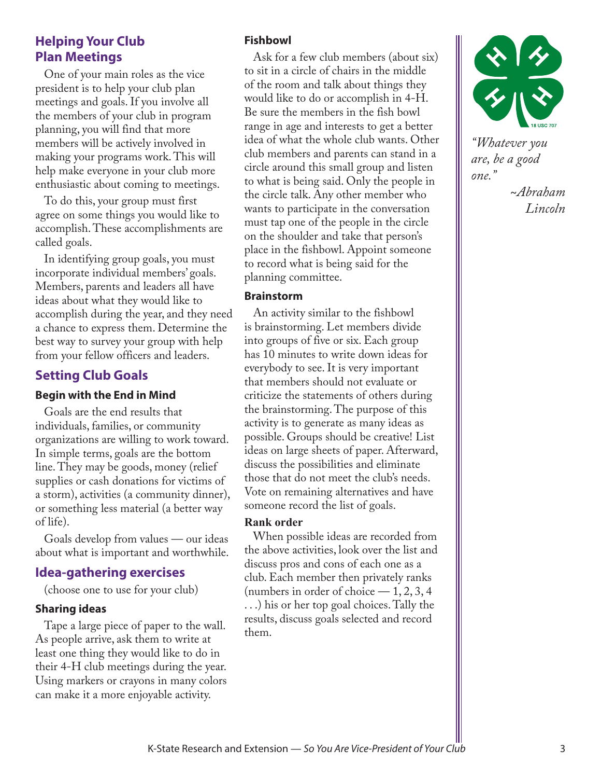## **Helping Your Club Plan Meetings**

One of your main roles as the vice president is to help your club plan meetings and goals. If you involve all the members of your club in program planning, you will find that more members will be actively involved in making your programs work. This will help make everyone in your club more enthusiastic about coming to meetings.

To do this, your group must first agree on some things you would like to accomplish. These accomplishments are called goals.

In identifying group goals, you must incorporate individual members' goals. Members, parents and leaders all have ideas about what they would like to accomplish during the year, and they need a chance to express them. Determine the best way to survey your group with help from your fellow officers and leaders.

## **Setting Club Goals**

#### **Begin with the End in Mind**

Goals are the end results that individuals, families, or community organizations are willing to work toward. In simple terms, goals are the bottom line. They may be goods, money (relief supplies or cash donations for victims of a storm), activities (a community dinner), or something less material (a better way of life).

Goals develop from values — our ideas about what is important and worthwhile.

## **Idea-gathering exercises**

(choose one to use for your club)

#### **Sharing ideas**

Tape a large piece of paper to the wall. As people arrive, ask them to write at least one thing they would like to do in their 4-H club meetings during the year. Using markers or crayons in many colors can make it a more enjoyable activity.

#### **Fishbowl**

Ask for a few club members (about six) to sit in a circle of chairs in the middle of the room and talk about things they would like to do or accomplish in 4-H. Be sure the members in the fish bowl range in age and interests to get a better idea of what the whole club wants. Other club members and parents can stand in a circle around this small group and listen to what is being said. Only the people in the circle talk. Any other member who wants to participate in the conversation must tap one of the people in the circle on the shoulder and take that person's place in the fishbowl. Appoint someone to record what is being said for the planning committee.

#### **Brainstorm**

An activity similar to the fishbowl is brainstorming. Let members divide into groups of five or six. Each group has 10 minutes to write down ideas for everybody to see. It is very important that members should not evaluate or criticize the statements of others during the brainstorming. The purpose of this activity is to generate as many ideas as possible. Groups should be creative! List ideas on large sheets of paper. Afterward, discuss the possibilities and eliminate those that do not meet the club's needs. Vote on remaining alternatives and have someone record the list of goals.

#### **Rank order**

When possible ideas are recorded from the above activities, look over the list and discuss pros and cons of each one as a club. Each member then privately ranks (numbers in order of choice  $-1, 2, 3, 4$ ) . . .) his or her top goal choices. Tally the results, discuss goals selected and record them.



*"Whatever you are, be a good one."*

*~Abraham Lincoln*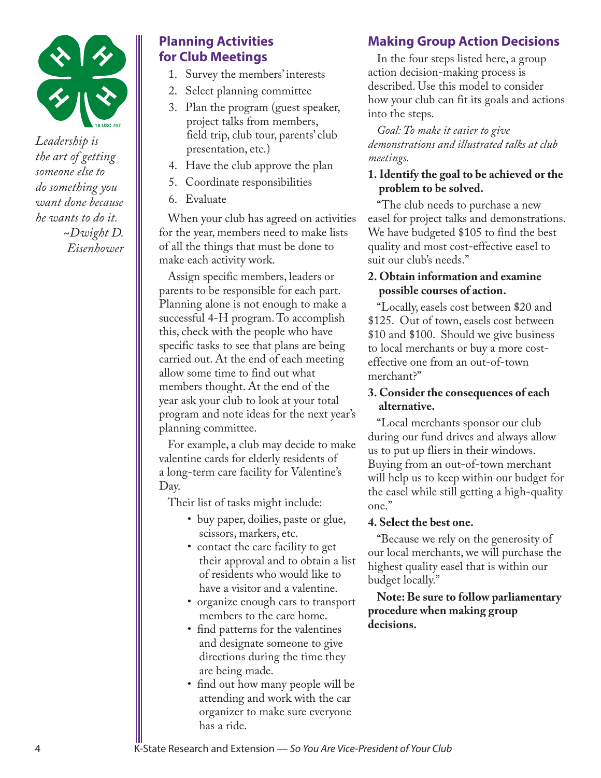

*Leadership is the art of getting someone else to do something you want done because he wants to do it. ~Dwight D. Eisenhower*

# **Planning Activities for Club Meetings**

- 1. Survey the members' interests
- 2. Select planning committee
- 3. Plan the program (guest speaker, project talks from members, field trip, club tour, parents' club presentation, etc.)
- 4. Have the club approve the plan
- 5. Coordinate responsibilities
- 6. Evaluate

When your club has agreed on activities for the year, members need to make lists of all the things that must be done to make each activity work.

Assign specific members, leaders or parents to be responsible for each part. Planning alone is not enough to make a successful 4-H program. To accomplish this, check with the people who have specific tasks to see that plans are being carried out. At the end of each meeting allow some time to find out what members thought. At the end of the year ask your club to look at your total program and note ideas for the next year's planning committee.

For example, a club may decide to make valentine cards for elderly residents of a long-term care facility for Valentine's Day.

Their list of tasks might include:

- buy paper, doilies, paste or glue, scissors, markers, etc.
- contact the care facility to get their approval and to obtain a list of residents who would like to have a visitor and a valentine.
- organize enough cars to transport members to the care home.
- find patterns for the valentines and designate someone to give directions during the time they are being made.
- find out how many people will be attending and work with the car organizer to make sure everyone has a ride.

# **Making Group Action Decisions**

In the four steps listed here, a group action decision-making process is described. Use this model to consider how your club can fit its goals and actions into the steps.

*Goal: To make it easier to give demonstrations and illustrated talks at club meetings.*

## **1. Identify the goal to be achieved or the problem to be solved.**

"The club needs to purchase a new easel for project talks and demonstrations. We have budgeted \$105 to find the best quality and most cost-effective easel to suit our club's needs."

#### **2. Obtain information and examine possible courses of action.**

"Locally, easels cost between \$20 and \$125. Out of town, easels cost between \$10 and \$100. Should we give business to local merchants or buy a more costeffective one from an out-of-town merchant?"

### **3. Consider the consequences of each alternative.**

"Local merchants sponsor our club during our fund drives and always allow us to put up fliers in their windows. Buying from an out-of-town merchant will help us to keep within our budget for the easel while still getting a high-quality one."

#### **4. Select the best one.**

"Because we rely on the generosity of our local merchants, we will purchase the highest quality easel that is within our budget locally."

**Note: Be sure to follow parliamentary procedure when making group decisions.**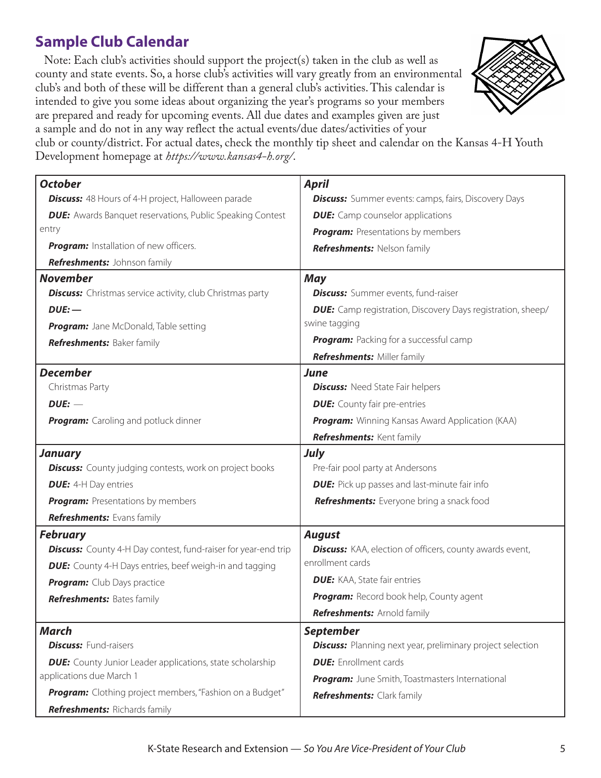# **Sample Club Calendar**

Note: Each club's activities should support the project(s) taken in the club as well as county and state events. So, a horse club's activities will vary greatly from an environmental club's and both of these will be different than a general club's activities. This calendar is intended to give you some ideas about organizing the year's programs so your members are prepared and ready for upcoming events. All due dates and examples given are just a sample and do not in any way reflect the actual events/due dates/activities of your



club or county/district. For actual dates, check the monthly tip sheet and calendar on the Kansas 4-H Youth Development homepage at *<https://www.kansas4-h.org/>*.

| <b>October</b>                                                        | <b>April</b>                                                       |  |  |  |
|-----------------------------------------------------------------------|--------------------------------------------------------------------|--|--|--|
| <b>Discuss:</b> 48 Hours of 4-H project, Halloween parade             | <b>Discuss:</b> Summer events: camps, fairs, Discovery Days        |  |  |  |
| <b>DUE:</b> Awards Banquet reservations, Public Speaking Contest      | <b>DUE:</b> Camp counselor applications                            |  |  |  |
| entry                                                                 | Program: Presentations by members                                  |  |  |  |
| Program: Installation of new officers.                                | Refreshments: Nelson family                                        |  |  |  |
| Refreshments: Johnson family                                          |                                                                    |  |  |  |
| <b>November</b>                                                       | <b>May</b>                                                         |  |  |  |
| <b>Discuss:</b> Christmas service activity, club Christmas party      | <b>Discuss:</b> Summer events, fund-raiser                         |  |  |  |
| $DUE:$ —                                                              | <b>DUE:</b> Camp registration, Discovery Days registration, sheep/ |  |  |  |
| Program: Jane McDonald, Table setting                                 | swine tagging                                                      |  |  |  |
| Refreshments: Baker family                                            | Program: Packing for a successful camp                             |  |  |  |
|                                                                       | <b>Refreshments: Miller family</b>                                 |  |  |  |
| <b>December</b>                                                       | <b>June</b>                                                        |  |  |  |
| Christmas Party                                                       | <b>Discuss:</b> Need State Fair helpers                            |  |  |  |
| $DUE:$ $-$                                                            | <b>DUE:</b> County fair pre-entries                                |  |  |  |
| <b>Program:</b> Caroling and potluck dinner                           | Program: Winning Kansas Award Application (KAA)                    |  |  |  |
|                                                                       | Refreshments: Kent family                                          |  |  |  |
| <b>January</b>                                                        | <b>July</b>                                                        |  |  |  |
| <b>Discuss:</b> County judging contests, work on project books        | Pre-fair pool party at Andersons                                   |  |  |  |
| <b>DUE:</b> 4-H Day entries                                           | <b>DUE:</b> Pick up passes and last-minute fair info               |  |  |  |
| <b>Program:</b> Presentations by members                              | Refreshments: Everyone bring a snack food                          |  |  |  |
| Refreshments: Evans family                                            |                                                                    |  |  |  |
| <b>February</b>                                                       | <b>August</b>                                                      |  |  |  |
| <b>Discuss:</b> County 4-H Day contest, fund-raiser for year-end trip | <b>Discuss:</b> KAA, election of officers, county awards event,    |  |  |  |
| <b>DUE:</b> County 4-H Days entries, beef weigh-in and tagging        | enrollment cards                                                   |  |  |  |
| Program: Club Days practice                                           | <b>DUE:</b> KAA, State fair entries                                |  |  |  |
| <b>Refreshments: Bates family</b>                                     | Program: Record book help, County agent                            |  |  |  |
|                                                                       | Refreshments: Arnold family                                        |  |  |  |
| <b>March</b>                                                          | <b>September</b>                                                   |  |  |  |
| <b>Discuss: Fund-raisers</b>                                          | <b>Discuss:</b> Planning next year, preliminary project selection  |  |  |  |
| <b>DUE:</b> County Junior Leader applications, state scholarship      | <b>DUE:</b> Enrollment cards                                       |  |  |  |
| applications due March 1                                              | Program: June Smith, Toastmasters International                    |  |  |  |
| Program: Clothing project members, "Fashion on a Budget"              | <b>Refreshments:</b> Clark family                                  |  |  |  |
| <b>Refreshments: Richards family</b>                                  |                                                                    |  |  |  |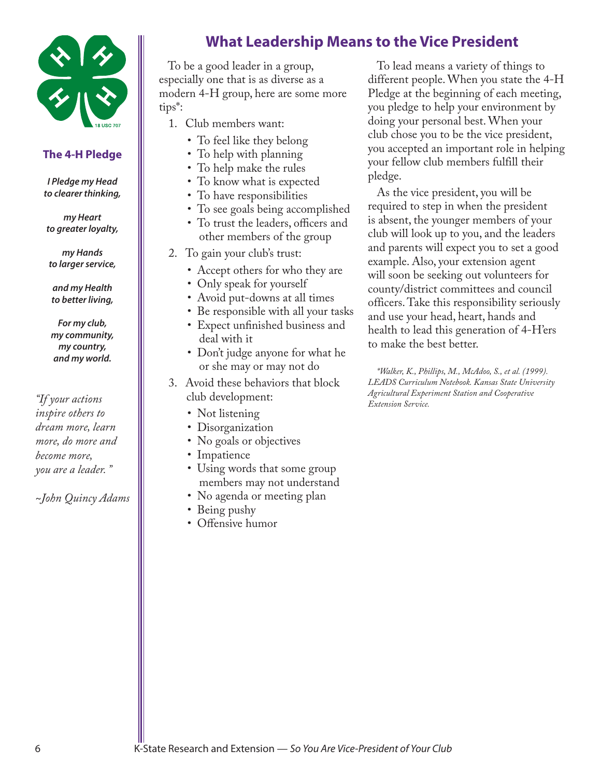

#### **The 4-H Pledge**

*I Pledge my Head to clearer thinking,* 

*my Heart to greater loyalty,* 

*my Hands to larger service,*

*and my Health to better living,* 

*For my club, my community, my country, and my world.*

*"If your actions inspire others to dream more, learn more, do more and become more, you are a leader. "*

*~John Quincy Adams*

# **What Leadership Means to the Vice President**

To be a good leader in a group, especially one that is as diverse as a modern 4-H group, here are some more tips\*:

- 1. Club members want:
	- To feel like they belong
	- To help with planning
	- To help make the rules
	- To know what is expected
	- To have responsibilities
	- To see goals being accomplished
	- To trust the leaders, officers and other members of the group
- 2. To gain your club's trust:
	- Accept others for who they are
	- Only speak for yourself
	- Avoid put-downs at all times
	- Be responsible with all your tasks
	- Expect unfinished business and deal with it
	- Don't judge anyone for what he or she may or may not do
- 3. Avoid these behaviors that block club development:
	- Not listening
	- Disorganization
	- No goals or objectives
	- Impatience
	- Using words that some group members may not understand
	- No agenda or meeting plan
	- Being pushy
	- Offensive humor

To lead means a variety of things to different people. When you state the 4-H Pledge at the beginning of each meeting, you pledge to help your environment by doing your personal best. When your club chose you to be the vice president, you accepted an important role in helping your fellow club members fulfill their pledge.

As the vice president, you will be required to step in when the president is absent, the younger members of your club will look up to you, and the leaders and parents will expect you to set a good example. Also, your extension agent will soon be seeking out volunteers for county/district committees and council officers. Take this responsibility seriously and use your head, heart, hands and health to lead this generation of 4-H'ers to make the best better.

*\*Walker, K., Phillips, M., McAdoo, S., et al. (1999). LEADS Curriculum Notebook. Kansas State University Agricultural Experiment Station and Cooperative Extension Service.*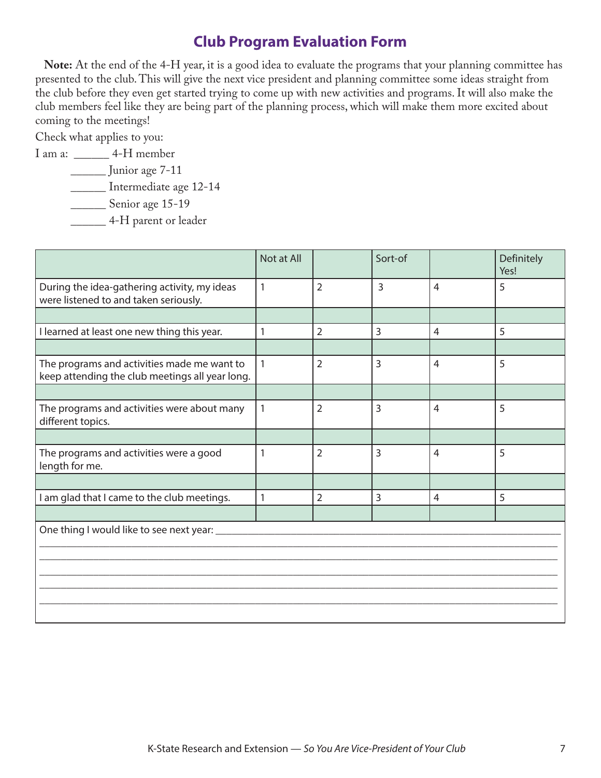# **Club Program Evaluation Form**

**Note:** At the end of the 4-H year, it is a good idea to evaluate the programs that your planning committee has presented to the club. This will give the next vice president and planning committee some ideas straight from the club before they even get started trying to come up with new activities and programs. It will also make the club members feel like they are being part of the planning process, which will make them more excited about coming to the meetings!

Check what applies to you:

I am a: \_\_\_\_\_\_ 4-H member

```
 ______ Junior age 7-11
```
\_\_\_\_\_\_ Intermediate age 12-14

\_\_\_\_\_\_\_\_ Senior age 15-19

\_\_\_\_\_\_ 4-H parent or leader

|                                                                                                | Not at All   |                | Sort-of        |                | Definitely<br>Yes! |  |  |
|------------------------------------------------------------------------------------------------|--------------|----------------|----------------|----------------|--------------------|--|--|
| During the idea-gathering activity, my ideas<br>were listened to and taken seriously.          | 1            | $\overline{2}$ | $\overline{3}$ | $\overline{4}$ | 5                  |  |  |
|                                                                                                |              |                |                |                |                    |  |  |
| I learned at least one new thing this year.                                                    | 1            | $\overline{2}$ | $\overline{3}$ | $\overline{4}$ | 5                  |  |  |
|                                                                                                |              |                |                |                |                    |  |  |
| The programs and activities made me want to<br>keep attending the club meetings all year long. | $\mathbf{1}$ | $\overline{2}$ | 3              | $\overline{4}$ | 5                  |  |  |
|                                                                                                |              |                |                |                |                    |  |  |
| The programs and activities were about many<br>different topics.                               | $\mathbf{1}$ | $\overline{2}$ | 3              | $\overline{4}$ | 5                  |  |  |
|                                                                                                |              |                |                |                |                    |  |  |
| The programs and activities were a good<br>length for me.                                      | 1            | $\overline{2}$ | 3              | $\overline{4}$ | 5                  |  |  |
|                                                                                                |              |                |                |                |                    |  |  |
| I am glad that I came to the club meetings.                                                    | 1            | $\overline{2}$ | 3              | $\overline{4}$ | 5                  |  |  |
|                                                                                                |              |                |                |                |                    |  |  |
| One thing I would like to see next year:                                                       |              |                |                |                |                    |  |  |
|                                                                                                |              |                |                |                |                    |  |  |
|                                                                                                |              |                |                |                |                    |  |  |
|                                                                                                |              |                |                |                |                    |  |  |